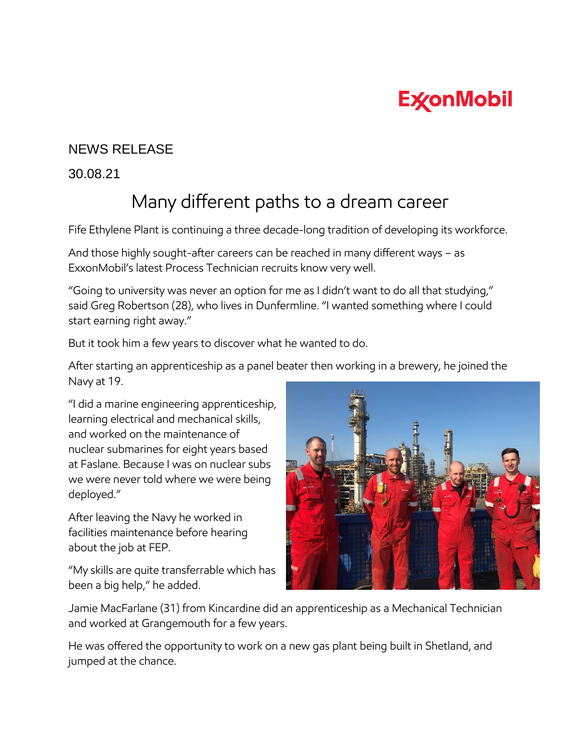## **ExconMobil**

## NEWS RELEASE

30.08.21

## Many different paths to a dream career

Fife Ethylene Plant is continuing a three decade-long tradition of developing its workforce.

And those highly sought-after careers can be reached in many different ways – as ExxonMobil's latest Process Technician recruits know very well.

"Going to university was never an option for me as I didn't want to do all that studying," said Greg Robertson (28), who lives in Dunfermline. "I wanted something where I could start earning right away."

But it took him a few years to discover what he wanted to do.

After starting an apprenticeship as a panel beater then working in a brewery, he joined the Navy at 19.

"I did a marine engineering apprenticeship, learning electrical and mechanical skills, and worked on the maintenance of nuclear submarines for eight years based at Faslane. Because I was on nuclear subs we were never told where we were being deployed."

After leaving the Navy he worked in facilities maintenance before hearing about the job at FEP.

"My skills are quite transferrable which has been a big help," he added.



Jamie MacFarlane (31) from Kincardine did an apprenticeship as a Mechanical Technician and worked at Grangemouth for a few years.

He was offered the opportunity to work on a new gas plant being built in Shetland, and jumped at the chance.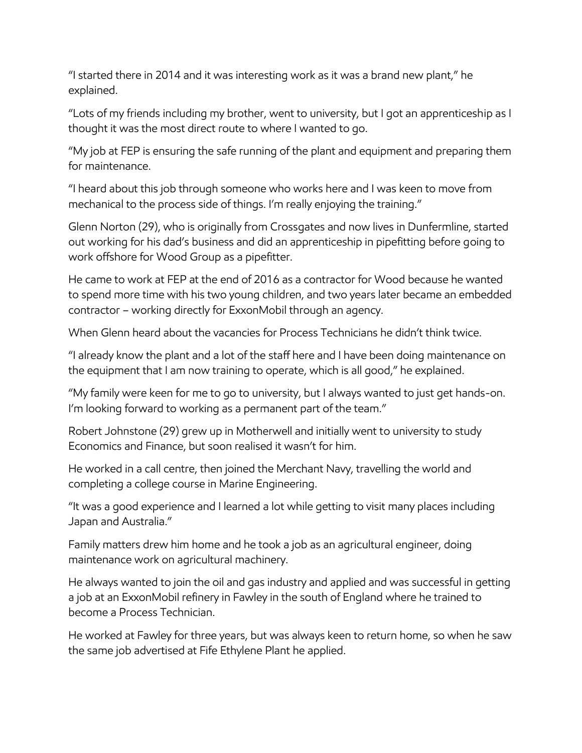"I started there in 2014 and it was interesting work as it was a brand new plant," he explained.

"Lots of my friends including my brother, went to university, but I got an apprenticeship as I thought it was the most direct route to where I wanted to go.

"My job at FEP is ensuring the safe running of the plant and equipment and preparing them for maintenance.

"I heard about this job through someone who works here and I was keen to move from mechanical to the process side of things. I'm really enjoying the training."

Glenn Norton (29), who is originally from Crossgates and now lives in Dunfermline, started out working for his dad's business and did an apprenticeship in pipefitting before going to work offshore for Wood Group as a pipefitter.

He came to work at FEP at the end of 2016 as a contractor for Wood because he wanted to spend more time with his two young children, and two years later became an embedded contractor – working directly for ExxonMobil through an agency.

When Glenn heard about the vacancies for Process Technicians he didn't think twice.

"I already know the plant and a lot of the staff here and I have been doing maintenance on the equipment that I am now training to operate, which is all good," he explained.

"My family were keen for me to go to university, but I always wanted to just get hands-on. I'm looking forward to working as a permanent part of the team."

Robert Johnstone (29) grew up in Motherwell and initially went to university to study Economics and Finance, but soon realised it wasn't for him.

He worked in a call centre, then joined the Merchant Navy, travelling the world and completing a college course in Marine Engineering.

"It was a good experience and I learned a lot while getting to visit many places including Japan and Australia."

Family matters drew him home and he took a job as an agricultural engineer, doing maintenance work on agricultural machinery.

He always wanted to join the oil and gas industry and applied and was successful in getting a job at an ExxonMobil refinery in Fawley in the south of England where he trained to become a Process Technician.

He worked at Fawley for three years, but was always keen to return home, so when he saw the same job advertised at Fife Ethylene Plant he applied.